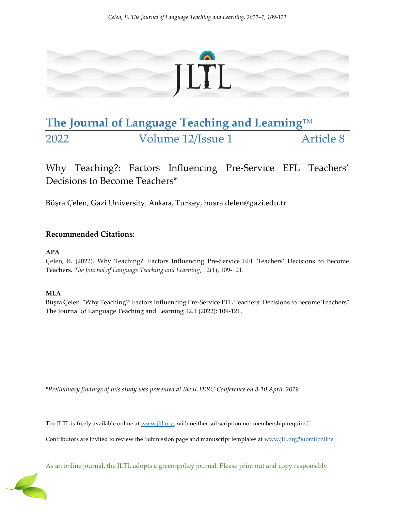

# **The Journal of Language Teaching and Learning**™ 2022 Volume 12/Issue 1 Article 8

## Why Teaching?: Factors Influencing Pre-Service EFL Teachers' Decisions to Become Teachers\*

Büşra Çelen, Gazi University, Ankara, Turkey, busra.delen@gazi.edu.tr

## **Recommended Citations:**

### **APA**

Çelen, B. (2022). Why Teaching?: Factors Influencing Pre-Service EFL Teachers' Decisions to Become Teachers. *The Journal of Language Teaching and Learning*, 12(1), 109-121.

### **MLA**

Büşra Çelen. "Why Teaching?: Factors Influencing Pre-Service EFL Teachers' Decisions to Become Teachers" The Journal of Language Teaching and Learning 12.1 (2022): 109-121.

*\*Preliminary findings of this study was presented at the ILTERG Conference on 8-10 April, 2019.*

The JLTL is freely available online a[t www.jltl.org,](http://www.jltl.org/) with neither subscription nor membership required.

Contributors are invited to review the Submission page and manuscript templates at [www.jltl.org/Submitonline](http://www.jltl.org/Submitonline)

As an online journal, the JLTL adopts a green-policy journal. Please print out and copy responsibly.

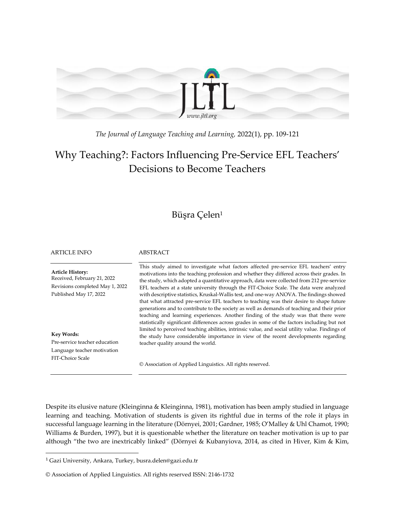

*The Journal of Language Teaching and Learning,* 2022(1), pp. 109-121

## Why Teaching?: Factors Influencing Pre-Service EFL Teachers' Decisions to Become Teachers

## Büşra Çelen<sup>1</sup>

| <b>ARTICLE INFO</b>                                                                                                                                                                                                          | ABSTRACT                                                                                                                                                                                                                                                                                                                                                                                                                                                                                                                                                                                                                                                                                                                                                                                                                                                                                                                                                                                                                                                                                   |
|------------------------------------------------------------------------------------------------------------------------------------------------------------------------------------------------------------------------------|--------------------------------------------------------------------------------------------------------------------------------------------------------------------------------------------------------------------------------------------------------------------------------------------------------------------------------------------------------------------------------------------------------------------------------------------------------------------------------------------------------------------------------------------------------------------------------------------------------------------------------------------------------------------------------------------------------------------------------------------------------------------------------------------------------------------------------------------------------------------------------------------------------------------------------------------------------------------------------------------------------------------------------------------------------------------------------------------|
| <b>Article History:</b><br>Received, February 21, 2022<br>Revisions completed May 1, 2022<br>Published May 17, 2022<br><b>Key Words:</b><br>Pre-service teacher education<br>Language teacher motivation<br>FIT-Choice Scale | This study aimed to investigate what factors affected pre-service EFL teachers' entry<br>motivations into the teaching profession and whether they differed across their grades. In<br>the study, which adopted a quantitative approach, data were collected from 212 pre-service<br>EFL teachers at a state university through the FIT-Choice Scale. The data were analyzed<br>with descriptive statistics, Kruskal-Wallis test, and one-way ANOVA. The findings showed<br>that what attracted pre-service EFL teachers to teaching was their desire to shape future<br>generations and to contribute to the society as well as demands of teaching and their prior<br>teaching and learning experiences. Another finding of the study was that there were<br>statistically significant differences across grades in some of the factors including but not<br>limited to perceived teaching abilities, intrinsic value, and social utility value. Findings of<br>the study have considerable importance in view of the recent developments regarding<br>teacher quality around the world. |
|                                                                                                                                                                                                                              | © Association of Applied Linguistics. All rights reserved.                                                                                                                                                                                                                                                                                                                                                                                                                                                                                                                                                                                                                                                                                                                                                                                                                                                                                                                                                                                                                                 |

Despite its elusive nature (Kleinginna & Kleinginna, 1981), motivation has been amply studied in language learning and teaching. Motivation of students is given its rightful due in terms of the role it plays in successful language learning in the literature (Dörnyei, 2001; Gardner, 1985; O'Malley & Uhl Chamot, 1990; Williams & Burden, 1997), but it is questionable whether the literature on teacher motivation is up to par although "the two are inextricably linked" (Dörnyei & Kubanyiova, 2014, as cited in Hiver, Kim & Kim,

 $\overline{\phantom{a}}$ 

<sup>1</sup> Gazi University, Ankara, Turkey, busra.delen@gazi.edu.tr

<sup>©</sup> Association of Applied Linguistics. All rights reserved ISSN: 2146-1732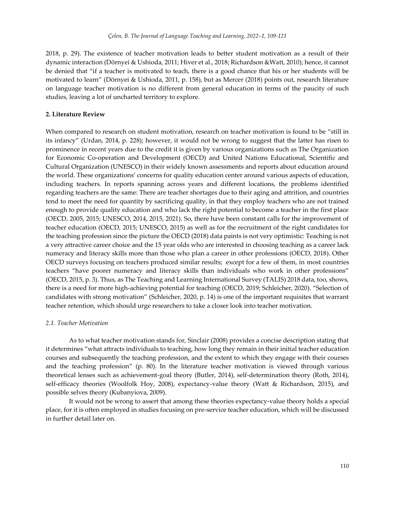2018, p. 29). The existence of teacher motivation leads to better student motivation as a result of their dynamic interaction (Dörnyei & Ushioda, 2011; Hiver et al., 2018; Richardson &Watt, 2010); hence, it cannot be denied that "if a teacher is motivated to teach, there is a good chance that his or her students will be motivated to learn" (Dörnyei & Ushioda, 2011, p. 158), but as Mercer (2018) points out, research literature on language teacher motivation is no different from general education in terms of the paucity of such studies, leaving a lot of uncharted territory to explore.

#### **2. Literature Review**

When compared to research on student motivation, research on teacher motivation is found to be "still in its infancy" (Urdan, 2014, p. 228); however, it would not be wrong to suggest that the latter has risen to prominence in recent years due to the credit it is given by various organizations such as The Organization for Economic Co-operation and Development (OECD) and United Nations Educational, Scientific and Cultural Organization (UNESCO) in their widely known assessments and reports about education around the world. These organizations' concerns for quality education center around various aspects of education, including teachers. In reports spanning across years and different locations, the problems identified regarding teachers are the same: There are teacher shortages due to their aging and attrition, and countries tend to meet the need for quantity by sacrificing quality, in that they employ teachers who are not trained enough to provide quality education and who lack the right potential to become a teacher in the first place (OECD, 2005, 2015; UNESCO, 2014, 2015, 2021). So, there have been constant calls for the improvement of teacher education (OECD, 2015; UNESCO, 2015) as well as for the recruitment of the right candidates for the teaching profession since the picture the OECD (2018) data paints is not very optimistic: Teaching is not a very attractive career choice and the 15 year olds who are interested in choosing teaching as a career lack numeracy and literacy skills more than those who plan a career in other professions (OECD, 2018). Other OECD surveys focusing on teachers produced similar results; except for a few of them, in most countries teachers "have poorer numeracy and literacy skills than individuals who work in other professions" (OECD, 2015, p. 3). Thus, as The Teaching and Learning International Survey (TALIS) 2018 data, too, shows, there is a need for more high-achieving potential for teaching (OECD, 2019; Schleicher, 2020). "Selection of candidates with strong motivation" (Schleicher, 2020, p. 14) is one of the important requisites that warrant teacher retention, which should urge researchers to take a closer look into teacher motivation.

#### *2.1. Teacher Motivation*

As to what teacher motivation stands for, Sinclair (2008) provides a concise description stating that it determines "what attracts individuals to teaching, how long they remain in their initial teacher education courses and subsequently the teaching profession, and the extent to which they engage with their courses and the teaching profession" (p. 80). In the literature teacher motivation is viewed through various theoretical lenses such as achievement-goal theory (Butler, 2014), self-determination theory (Roth, 2014), self-efficacy theories (Woolfolk Hoy, 2008), expectancy-value theory (Watt & Richardson, 2015), and possible selves theory (Kubanyiova, 2009).

It would not be wrong to assert that among these theories expectancy-value theory holds a special place, for it is often employed in studies focusing on pre-service teacher education, which will be discussed in further detail later on.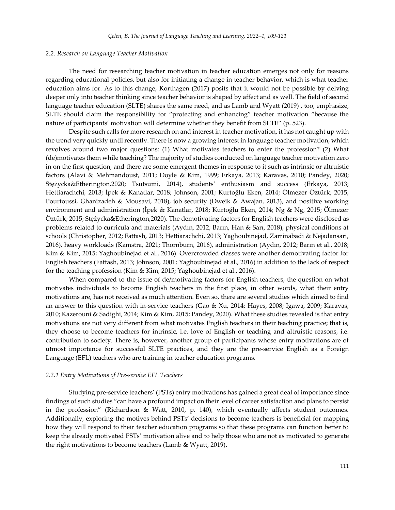#### *2.2. Research on Language Teacher Motivation*

The need for researching teacher motivation in teacher education emerges not only for reasons regarding educational policies, but also for initiating a change in teacher behavior, which is what teacher education aims for. As to this change, Korthagen (2017) posits that it would not be possible by delving deeper only into teacher thinking since teacher behavior is shaped by affect and as well. The field of second language teacher education (SLTE) shares the same need, and as Lamb and Wyatt (2019) , too, emphasize, SLTE should claim the responsibility for "protecting and enhancing" teacher motivation "because the nature of participants' motivation will determine whether they benefit from SLTE" (p. 523).

Despite such calls for more research on and interest in teacher motivation, it has not caught up with the trend very quickly until recently. There is now a growing interest in language teacher motivation, which revolves around two major questions: (1) What motivates teachers to enter the profession? (2) What (de)motivates them while teaching? The majority of studies conducted on language teacher motivation zero in on the first question, and there are some emergent themes in response to it such as intrinsic or altruistic factors (Alavi & Mehmandoust, 2011; Doyle & Kim, 1999; Erkaya, 2013; Karavas, 2010; Pandey, 2020; Stężycka&Etherington,2020; Tsutsumi, 2014), students' enthusiasm and success (Erkaya, 2013; Hettiarachchi, 2013; İpek & Kanatlar, 2018; Johnson, 2001; Kurtoğlu Eken, 2014; Ölmezer Öztürk; 2015; Pourtoussi, Ghanizadeh & Mousavi, 2018), job security (Dweik & Awajan, 2013), and positive working environment and administration (İpek & Kanatlar, 2018; Kurtoğlu Eken, 2014; Ng & Ng, 2015; Ölmezer Öztürk; 2015; Stężycka&Etherington,2020). The demotivating factors for English teachers were disclosed as problems related to curricula and materials (Aydın, 2012; Barın, Han & Sarı, 2018), physical conditions at schools (Christopher, 2012; Fattash, 2013; Hettiarachchi, 2013; Yaghoubinejad, Zarrinabadi & Nejadansari, 2016), heavy workloads (Kamstra, 2021; Thornburn, 2016), administration (Aydın, 2012; Barın et al., 2018; Kim & Kim, 2015; Yaghoubinejad et al., 2016). Overcrowded classes were another demotivating factor for English teachers (Fattash, 2013; Johnson, 2001; Yaghoubinejad et al., 2016) in addition to the lack of respect for the teaching profession (Kim & Kim, 2015; Yaghoubinejad et al., 2016).

When compared to the issue of de/motivating factors for English teachers, the question on what motivates individuals to become English teachers in the first place, in other words, what their entry motivations are, has not received as much attention. Even so, there are several studies which aimed to find an answer to this question with in-service teachers (Gao & Xu, 2014; Hayes, 2008; Igawa, 2009; Karavas, 2010; Kazerouni & Sadighi, 2014; Kim & Kim, 2015; Pandey, 2020). What these studies revealed is that entry motivations are not very different from what motivates English teachers in their teaching practice; that is, they choose to become teachers for intrinsic, i.e. love of English or teaching and altruistic reasons, i.e. contribution to society. There is, however, another group of participants whose entry motivations are of utmost importance for successful SLTE practices, and they are the pre-service English as a Foreign Language (EFL) teachers who are training in teacher education programs.

#### *2.2.1 Entry Motivations of Pre-service EFL Teachers*

Studying pre-service teachers' (PSTs) entry motivations has gained a great deal of importance since findings of such studies "can have a profound impact on their level of career satisfaction and plans to persist in the profession" (Richardson & Watt, 2010, p. 140), which eventually affects student outcomes. Additionally, exploring the motives behind PSTs' decisions to become teachers is beneficial for mapping how they will respond to their teacher education programs so that these programs can function better to keep the already motivated PSTs' motivation alive and to help those who are not as motivated to generate the right motivations to become teachers (Lamb & Wyatt, 2019).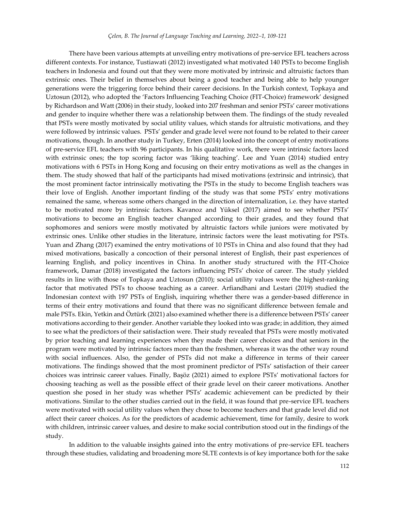There have been various attempts at unveiling entry motivations of pre-service EFL teachers across different contexts. For instance, Tustiawati (2012) investigated what motivated 140 PSTs to become English teachers in Indonesia and found out that they were more motivated by intrinsic and altruistic factors than extrinsic ones. Their belief in themselves about being a good teacher and being able to help younger generations were the triggering force behind their career decisions. In the Turkish context, Topkaya and Uztosun (2012), who adopted the 'Factors Influencing Teaching Choice (FIT-Choice) framework' designed by Richardson and Watt (2006) in their study, looked into 207 freshman and senior PSTs' career motivations and gender to inquire whether there was a relationship between them. The findings of the study revealed that PSTs were mostly motivated by social utility values, which stands for altruistic motivations, and they were followed by intrinsic values. PSTs' gender and grade level were not found to be related to their career motivations, though. In another study in Turkey, Erten (2014) looked into the concept of entry motivations of pre-service EFL teachers with 96 participants. In his qualitative work, there were intrinsic factors laced with extrinsic ones; the top scoring factor was 'liking teaching'. Lee and Yuan (2014) studied entry motivations with 6 PSTs in Hong Kong and focusing on their entry motivations as well as the changes in them. The study showed that half of the participants had mixed motivations (extrinsic and intrinsic), that the most prominent factor intrinsically motivating the PSTs in the study to become English teachers was their love of English. Another important finding of the study was that some PSTs' entry motivations remained the same, whereas some others changed in the direction of internalization, i.e. they have started to be motivated more by intrinsic factors. Kavanoz and Yüksel (2017) aimed to see whether PSTs' motivations to become an English teacher changed according to their grades, and they found that sophomores and seniors were mostly motivated by altruistic factors while juniors were motivated by extrinsic ones. Unlike other studies in the literature, intrinsic factors were the least motivating for PSTs. Yuan and Zhang (2017) examined the entry motivations of 10 PSTs in China and also found that they had mixed motivations, basically a concoction of their personal interest of English, their past experiences of learning English, and policy incentives in China. In another study structured with the FIT-Choice framework, Damar (2018) investigated the factors influencing PSTs' choice of career. The study yielded results in line with those of Topkaya and Uztosun (2010); social utility values were the highest-ranking factor that motivated PSTs to choose teaching as a career. Arfiandhani and Lestari (2019) studied the Indonesian context with 197 PSTs of English, inquiring whether there was a gender-based difference in terms of their entry motivations and found that there was no significant difference between female and male PSTs. Ekin, Yetkin and Öztürk (2021) also examined whether there is a difference between PSTs' career motivations according to their gender. Another variable they looked into was grade; in addition, they aimed to see what the predictors of their satisfaction were. Their study revealed that PSTs were mostly motivated by prior teaching and learning experiences when they made their career choices and that seniors in the program were motivated by intrinsic factors more than the freshmen, whereas it was the other way round with social influences. Also, the gender of PSTs did not make a difference in terms of their career motivations. The findings showed that the most prominent predictor of PSTs' satisfaction of their career choices was intrinsic career values. Finally, Başöz (2021) aimed to explore PSTs' motivational factors for choosing teaching as well as the possible effect of their grade level on their career motivations. Another question she posed in her study was whether PSTs' academic achievement can be predicted by their motivations. Similar to the other studies carried out in the field, it was found that pre-service EFL teachers were motivated with social utility values when they chose to become teachers and that grade level did not affect their career choices. As for the predictors of academic achievement, time for family, desire to work with children, intrinsic career values, and desire to make social contribution stood out in the findings of the study.

In addition to the valuable insights gained into the entry motivations of pre-service EFL teachers through these studies, validating and broadening more SLTE contexts is of key importance both for the sake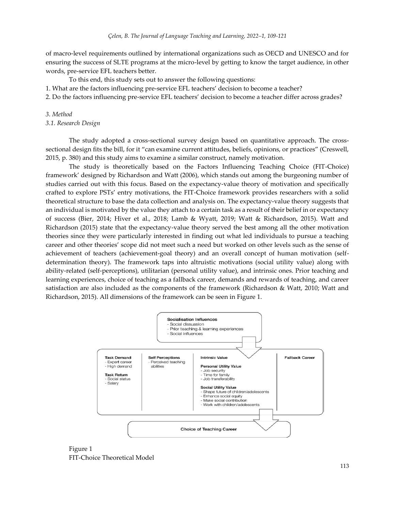of macro-level requirements outlined by international organizations such as OECD and UNESCO and for ensuring the success of SLTE programs at the micro-level by getting to know the target audience, in other words, pre-service EFL teachers better.

To this end, this study sets out to answer the following questions:

1. What are the factors influencing pre-service EFL teachers' decision to become a teacher?

2. Do the factors influencing pre-service EFL teachers' decision to become a teacher differ across grades?

#### *3. Method*

*3.1. Research Design*

The study adopted a cross-sectional survey design based on quantitative approach. The crosssectional design fits the bill, for it "can examine current attitudes, beliefs, opinions, or practices" (Creswell, 2015, p. 380) and this study aims to examine a similar construct, namely motivation.

The study is theoretically based on the Factors Influencing Teaching Choice (FIT-Choice) framework' designed by Richardson and Watt (2006), which stands out among the burgeoning number of studies carried out with this focus. Based on the expectancy-value theory of motivation and specifically crafted to explore PSTs' entry motivations, the FIT-Choice framework provides researchers with a solid theoretical structure to base the data collection and analysis on. The expectancy-value theory suggests that an individual is motivated by the value they attach to a certain task as a result of their belief in or expectancy of success (Bier, 2014; Hiver et al., 2018; Lamb & Wyatt, 2019; Watt & Richardson, 2015). Watt and Richardson (2015) state that the expectancy-value theory served the best among all the other motivation theories since they were particularly interested in finding out what led individuals to pursue a teaching career and other theories' scope did not meet such a need but worked on other levels such as the sense of achievement of teachers (achievement-goal theory) and an overall concept of human motivation (selfdetermination theory). The framework taps into altruistic motivations (social utility value) along with ability-related (self-perceptions), utilitarian (personal utility value), and intrinsic ones. Prior teaching and learning experiences, choice of teaching as a fallback career, demands and rewards of teaching, and career satisfaction are also included as the components of the framework (Richardson & Watt, 2010; Watt and Richardson, 2015). All dimensions of the framework can be seen in Figure 1.



Figure 1 FIT-Choice Theoretical Model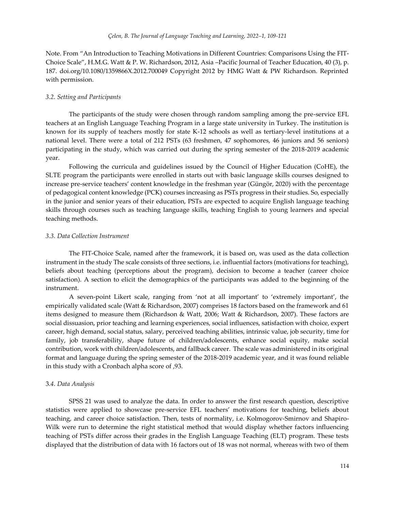Note. From "An Introduction to Teaching Motivations in Different Countries: Comparisons Using the FIT-Choice Scale", H.M.G. Watt & P. W. Richardson, 2012, Asia –Pacific Journal of Teacher Education, 40 (3), p. 187. doi.org/10.1080/1359866X.2012.700049 Copyright 2012 by HMG Watt & PW Richardson. Reprinted with permission.

#### *3.2. Setting and Participants*

The participants of the study were chosen through random sampling among the pre-service EFL teachers at an English Language Teaching Program in a large state university in Turkey. The institution is known for its supply of teachers mostly for state K-12 schools as well as tertiary-level institutions at a national level. There were a total of 212 PSTs (63 freshmen, 47 sophomores, 46 juniors and 56 seniors) participating in the study, which was carried out during the spring semester of the 2018-2019 academic year.

Following the curricula and guidelines issued by the Council of Higher Education (CoHE), the SLTE program the participants were enrolled in starts out with basic language skills courses designed to increase pre-service teachers' content knowledge in the freshman year (Güngör, 2020) with the percentage of pedagogical content knowledge (PCK) courses increasing as PSTs progress in their studies. So, especially in the junior and senior years of their education, PSTs are expected to acquire English language teaching skills through courses such as teaching language skills, teaching English to young learners and special teaching methods.

#### *3.3. Data Collection Instrument*

The FIT-Choice Scale, named after the framework, it is based on, was used as the data collection instrument in the study The scale consists of three sections, i.e. influential factors (motivations for teaching), beliefs about teaching (perceptions about the program), decision to become a teacher (career choice satisfaction). A section to elicit the demographics of the participants was added to the beginning of the instrument.

A seven-point Likert scale, ranging from 'not at all important' to 'extremely important', the empirically validated scale (Watt & Richardson, 2007) comprises 18 factors based on the framework and 61 items designed to measure them (Richardson & Watt, 2006; Watt & Richardson, 2007). These factors are social dissuasion, prior teaching and learning experiences, social influences, satisfaction with choice, expert career, high demand, social status, salary, perceived teaching abilities, intrinsic value, job security, time for family, job transferability, shape future of children/adolescents, enhance social equity, make social contribution, work with children/adolescents, and fallback career. The scale was administered in its original format and language during the spring semester of the 2018-2019 academic year, and it was found reliable in this study with a Cronbach alpha score of ,93.

#### 3.*4. Data Analysis*

SPSS 21 was used to analyze the data. In order to answer the first research question, descriptive statistics were applied to showcase pre-service EFL teachers' motivations for teaching, beliefs about teaching, and career choice satisfaction. Then, tests of normality, i.e. Kolmogorov-Smirnov and Shapiro-Wilk were run to determine the right statistical method that would display whether factors influencing teaching of PSTs differ across their grades in the English Language Teaching (ELT) program. These tests displayed that the distribution of data with 16 factors out of 18 was not normal, whereas with two of them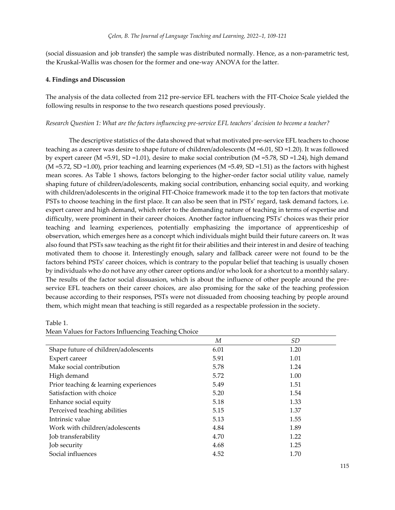(social dissuasion and job transfer) the sample was distributed normally. Hence, as a non-parametric test, the Kruskal-Wallis was chosen for the former and one-way ANOVA for the latter.

#### **4. Findings and Discussion**

The analysis of the data collected from 212 pre-service EFL teachers with the FIT-Choice Scale yielded the following results in response to the two research questions posed previously.

#### *Research Question 1: What are the factors influencing pre-service EFL teachers' decision to become a teacher?*

The descriptive statistics of the data showed that what motivated pre-service EFL teachers to choose teaching as a career was desire to shape future of children/adolescents (M =6.01, SD =1.20). It was followed by expert career (M =5.91, SD =1.01), desire to make social contribution (M =5.78, SD =1.24), high demand (M =5.72, SD =1.00), prior teaching and learning experiences (M =5.49, SD =1.51) as the factors with highest mean scores. As Table 1 shows, factors belonging to the higher-order factor social utility value, namely shaping future of children/adolescents, making social contribution, enhancing social equity, and working with children/adolescents in the original FIT-Choice framework made it to the top ten factors that motivate PSTs to choose teaching in the first place. It can also be seen that in PSTs' regard, task demand factors, i.e. expert career and high demand, which refer to the demanding nature of teaching in terms of expertise and difficulty, were prominent in their career choices. Another factor influencing PSTs' choices was their prior teaching and learning experiences, potentially emphasizing the importance of apprenticeship of observation, which emerges here as a concept which individuals might build their future careers on. It was also found that PSTs saw teaching as the right fit for their abilities and their interest in and desire of teaching motivated them to choose it. Interestingly enough, salary and fallback career were not found to be the factors behind PSTs' career choices, which is contrary to the popular belief that teaching is usually chosen by individuals who do not have any other career options and/or who look for a shortcut to a monthly salary. The results of the factor social dissuasion, which is about the influence of other people around the preservice EFL teachers on their career choices, are also promising for the sake of the teaching profession because according to their responses, PSTs were not dissuaded from choosing teaching by people around them, which might mean that teaching is still regarded as a respectable profession in the society.

| $\sigma$<br>$\sigma$                  |      |           |  |  |  |
|---------------------------------------|------|-----------|--|--|--|
|                                       | М    | <i>SD</i> |  |  |  |
| Shape future of children/adolescents  | 6.01 | 1.20      |  |  |  |
| Expert career                         | 5.91 | 1.01      |  |  |  |
| Make social contribution              | 5.78 | 1.24      |  |  |  |
| High demand                           | 5.72 | 1.00      |  |  |  |
| Prior teaching & learning experiences | 5.49 | 1.51      |  |  |  |
| Satisfaction with choice              | 5.20 | 1.54      |  |  |  |
| Enhance social equity                 | 5.18 | 1.33      |  |  |  |
| Perceived teaching abilities          | 5.15 | 1.37      |  |  |  |
| Intrinsic value                       | 5.13 | 1.55      |  |  |  |
| Work with children/adolescents        | 4.84 | 1.89      |  |  |  |
| Job transferability                   | 4.70 | 1.22      |  |  |  |
| Job security                          | 4.68 | 1.25      |  |  |  |
| Social influences                     | 4.52 | 1.70      |  |  |  |

Table 1.

| Mean Values for Factors Influencing Teaching Choice |  |  |
|-----------------------------------------------------|--|--|
|-----------------------------------------------------|--|--|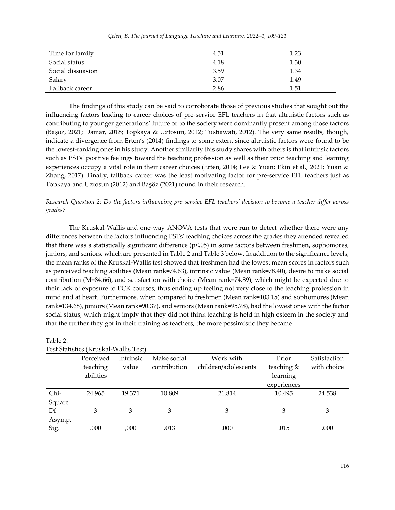| Time for family   | 4.51 | 1.23 |
|-------------------|------|------|
| Social status     | 4.18 | 1.30 |
| Social dissuasion | 3.59 | 1.34 |
| Salary            | 3.07 | 1.49 |
| Fallback career   | 2.86 | 1.51 |

#### *Çelen, B. The Journal of Language Teaching and Learning, 2022–1, 109-121*

The findings of this study can be said to corroborate those of previous studies that sought out the influencing factors leading to career choices of pre-service EFL teachers in that altruistic factors such as contributing to younger generations' future or to the society were dominantly present among those factors (Başöz, 2021; Damar, 2018; Topkaya & Uztosun, 2012; Tustiawati, 2012). The very same results, though, indicate a divergence from Erten's (2014) findings to some extent since altruistic factors were found to be the lowest-ranking ones in his study. Another similarity this study shares with others is that intrinsic factors such as PSTs' positive feelings toward the teaching profession as well as their prior teaching and learning experiences occupy a vital role in their career choices (Erten, 2014; Lee & Yuan; Ekin et al., 2021; Yuan & Zhang, 2017). Finally, fallback career was the least motivating factor for pre-service EFL teachers just as Topkaya and Uztosun (2012) and Başöz (2021) found in their research.

### *Research Question 2: Do the factors influencing pre-service EFL teachers' decision to become a teacher differ across grades?*

The Kruskal-Wallis and one-way ANOVA tests that were run to detect whether there were any differences between the factors influencing PSTs' teaching choices across the grades they attended revealed that there was a statistically significant difference (p<.05) in some factors between freshmen, sophomores, juniors, and seniors, which are presented in Table 2 and Table 3 below. In addition to the significance levels, the mean ranks of the Kruskal-Wallis test showed that freshmen had the lowest mean scores in factors such as perceived teaching abilities (Mean rank=74.63), intrinsic value (Mean rank=78.40), desire to make social contribution (M=84.66), and satisfaction with choice (Mean rank=74.89), which might be expected due to their lack of exposure to PCK courses, thus ending up feeling not very close to the teaching profession in mind and at heart. Furthermore, when compared to freshmen (Mean rank=103.15) and sophomores (Mean rank=134.68), juniors (Mean rank=90.37), and seniors (Mean rank=95.78), had the lowest ones with the factor social status, which might imply that they did not think teaching is held in high esteem in the society and that the further they got in their training as teachers, the more pessimistic they became.

| Test Statistics (Kruskal-Wallis Test) |                                    |                    |                             |                                   |                                                |                             |
|---------------------------------------|------------------------------------|--------------------|-----------------------------|-----------------------------------|------------------------------------------------|-----------------------------|
|                                       | Perceived<br>teaching<br>abilities | Intrinsic<br>value | Make social<br>contribution | Work with<br>children/adolescents | Prior<br>teaching &<br>learning<br>experiences | Satisfaction<br>with choice |
| Chi-                                  | 24.965                             | 19.371             | 10.809                      | 21.814                            | 10.495                                         | 24.538                      |
| Square                                |                                    |                    |                             |                                   |                                                |                             |
| Df                                    | 3                                  | 3                  | 3                           | 3                                 | 3                                              | 3                           |
| Asymp.                                |                                    |                    |                             |                                   |                                                |                             |
| Sig.                                  | .000                               | ,000               | .013                        | .000                              | .015                                           | .000                        |

| Table 2.                                                                                   |  |
|--------------------------------------------------------------------------------------------|--|
| $T_{\text{col}}$ $C_{\text{tot}}$ $\omega_{\text{col}}$ ( <i>V</i> modeal $M_{\text{col}}$ |  |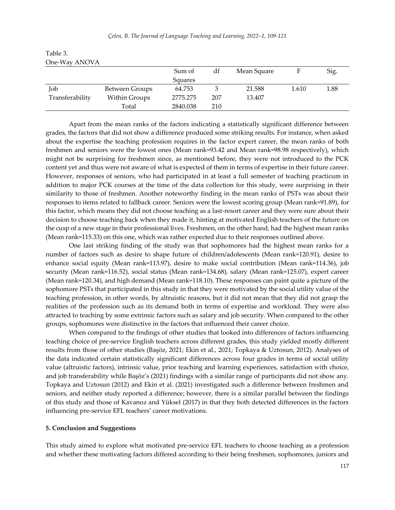|                 |                | Sum of   | df  | Mean Square |       | Sig. |
|-----------------|----------------|----------|-----|-------------|-------|------|
|                 |                | Squares  |     |             |       |      |
| Job             | Between Groups | 64.753   |     | 21.588      | 1.610 | 1.88 |
| Transferability | Within Groups  | 2775.275 | 207 | 13.407      |       |      |
|                 | Total          | 2840.038 | 210 |             |       |      |

Table 3. One-Way ANOVA

Apart from the mean ranks of the factors indicating a statistically significant difference between grades, the factors that did not show a difference produced some striking results. For instance, when asked about the expertise the teaching profession requires in the factor expert career, the mean ranks of both freshmen and seniors were the lowest ones (Mean rank=93.42 and Mean rank=98.98 respectively), which might not be surprising for freshmen since, as mentioned before, they were not introduced to the PCK content yet and thus were not aware of what is expected of them in terms of expertise in their future career. However, responses of seniors, who had participated in at least a full semester of teaching practicum in addition to major PCK courses at the time of the data collection for this study, were surprising in their similarity to those of freshmen. Another noteworthy finding in the mean ranks of PSTs was about their responses to items related to fallback career. Seniors were the lowest scoring group (Mean rank=91.89), for this factor, which means they did not choose teaching as a last-resort career and they were sure about their decision to choose teaching back when they made it, hinting at motivated English teachers of the future on the cusp of a new stage in their professional lives. Freshmen, on the other hand, had the highest mean ranks (Mean rank=115.33) on this one, which was rather expected due to their responses outlined above.

One last striking finding of the study was that sophomores had the highest mean ranks for a number of factors such as desire to shape future of children/adolescents (Mean rank=120.91), desire to enhance social equity (Mean rank=113.97), desire to make social contribution (Mean rank=114.36), job security (Mean rank=116.52), social status (Mean rank=134.68), salary (Mean rank=125.07), expert career (Mean rank=120.34), and high demand (Mean rank=118.10). These responses can paint quite a picture of the sophomore PSTs that participated in this study in that they were motivated by the social utility value of the teaching profession, in other words, by altruistic reasons, but it did not mean that they did not grasp the realities of the profession such as its demand both in terms of expertise and workload. They were also attracted to teaching by some extrinsic factors such as salary and job security. When compared to the other groups, sophomores were distinctive in the factors that influenced their career choice.

When compared to the findings of other studies that looked into differences of factors influencing teaching choice of pre-service English teachers across different grades, this study yielded mostly different results from those of other studies (Başöz, 2021; Ekin et al., 2021; Topkaya & Uztosun, 2012). Analyses of the data indicated certain statistically significant differences across four grades in terms of social utility value (altruistic factors), intrinsic value, prior teaching and learning experiences, satisfaction with choice, and job transferability while Başöz's (2021) findings with a similar range of participants did not show any. Topkaya and Uztosun (2012) and Ekin et al. (2021) investigated such a difference between freshmen and seniors, and neither study reported a difference; however, there is a similar parallel between the findings of this study and those of Kavanoz and Yüksel (2017) in that they both detected differences in the factors influencing pre-service EFL teachers' career motivations.

#### **5. Conclusion and Suggestions**

This study aimed to explore what motivated pre-service EFL teachers to choose teaching as a profession and whether these motivating factors differed according to their being freshmen, sophomores, juniors and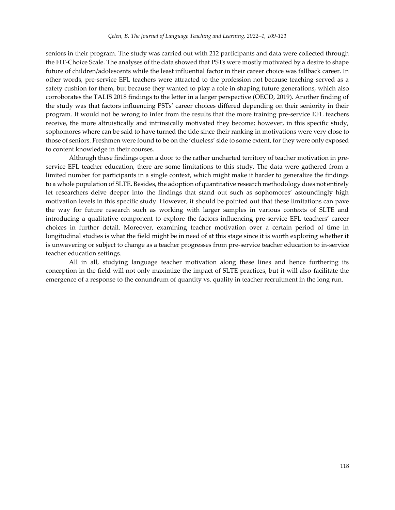seniors in their program. The study was carried out with 212 participants and data were collected through the FIT-Choice Scale. The analyses of the data showed that PSTs were mostly motivated by a desire to shape future of children/adolescents while the least influential factor in their career choice was fallback career. In other words, pre-service EFL teachers were attracted to the profession not because teaching served as a safety cushion for them, but because they wanted to play a role in shaping future generations, which also corroborates the TALIS 2018 findings to the letter in a larger perspective (OECD, 2019). Another finding of the study was that factors influencing PSTs' career choices differed depending on their seniority in their program. It would not be wrong to infer from the results that the more training pre-service EFL teachers receive, the more altruistically and intrinsically motivated they become; however, in this specific study, sophomores where can be said to have turned the tide since their ranking in motivations were very close to those of seniors. Freshmen were found to be on the 'clueless' side to some extent, for they were only exposed to content knowledge in their courses.

Although these findings open a door to the rather uncharted territory of teacher motivation in preservice EFL teacher education, there are some limitations to this study. The data were gathered from a limited number for participants in a single context, which might make it harder to generalize the findings to a whole population of SLTE. Besides, the adoption of quantitative research methodology does not entirely let researchers delve deeper into the findings that stand out such as sophomores' astoundingly high motivation levels in this specific study. However, it should be pointed out that these limitations can pave the way for future research such as working with larger samples in various contexts of SLTE and introducing a qualitative component to explore the factors influencing pre-service EFL teachers' career choices in further detail. Moreover, examining teacher motivation over a certain period of time in longitudinal studies is what the field might be in need of at this stage since it is worth exploring whether it is unwavering or subject to change as a teacher progresses from pre-service teacher education to in-service teacher education settings.

All in all, studying language teacher motivation along these lines and hence furthering its conception in the field will not only maximize the impact of SLTE practices, but it will also facilitate the emergence of a response to the conundrum of quantity vs. quality in teacher recruitment in the long run.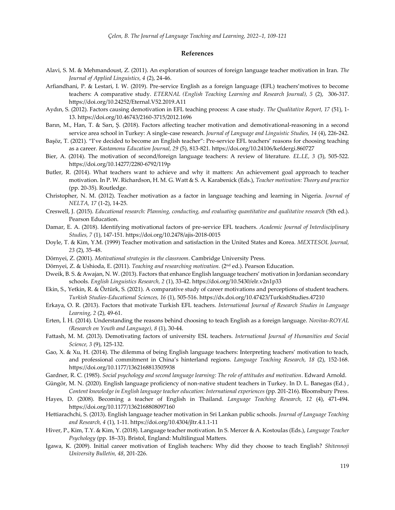#### **References**

- Alavi, S. M. & Mehmandoust, Z. (2011). An exploration of sources of foreign language teacher motivation in Iran. *The Journal of Applied Linguistics, 4* (2), 24-46.
- Arfiandhani, P. & Lestari, I. W. (2019). Pre-service English as a foreign language (EFL) teachers'motives to become teachers: A comparative study. *ETERNAL (English Teaching Learning and Research Journal), 5* (2), 306-317. https://doi.org/10.24252/Eternal.V52.2019.A11
- Aydın, S. (2012). Factors causing demotivation in EFL teaching process: A case study. *The Qualitative Report, 17* (51), 1- 13. https://doi.org/10.46743/2160-3715/2012.1696
- Barın, M., Han, T. & Sarı, Ş. (2018). Factors affecting teacher motivation and demotivational-reasoning in a second service area school in Turkey: A single-case research. *Journal of Language and Linguistic Studies, 14* (4), 226-242.
- Başöz, T. (2021). "I've decided to become an English teacher": Pre-service EFL teachers' reasons for choosing teaching as a career. *Kastamonu Education Journal, 29* (5), 813-821. https://doi.org/10.24106/kefdergi.860727
- Bier, A. (2014). The motivation of second/foreign language teachers: A review of literature. *EL.LE, 3* (3), 505-522. https://doi.org/10.14277/2280-6792/119p
- Butler, R. (2014). What teachers want to achieve and why it matters: An achievement goal approach to teacher motivation. In P. W. Richardson, H. M. G. Watt & S. A. Karabenick (Eds.), *Teacher motivation: Theory and practice*  (pp. 20-35). Routledge.
- Christopher, N. M. (2012). Teacher motivation as a factor in language teaching and learning in Nigeria. *Journal of NELTA, 17* (1-2), 14-25.
- Creswell, J. (2015). *Educational research: Planning, conducting, and evaluating quantitative and qualitative research* (5th ed.). Pearson Education.
- Damar, E. A. (2018). Identifying motivational factors of pre-service EFL teachers. *Academic Journal of Interdisciplinary Studies, 7* (1), 147-151. https://doi.org/10.2478/ajis-2018-0015
- Doyle, T. & Kim, Y.M. (1999) Teacher motivation and satisfaction in the United States and Korea. *MEXTESOL Journal, 23* (2), 35–48.
- Dörnyei, Z. (2001). *Motivational strategies in the classroom*. Cambridge University Press.
- Dörnyei, Z. & Ushioda, E. (2011). *Teaching and researching motivation.* (2nd ed.). Pearson Education.
- Dweik, B. S. & Awajan, N. W. (2013). Factors that enhance English language teachers' motivation in Jordanian secondary schools. *English Linguistics Research, 2* (1), 33-42. https://doi.org/10.5430/elr.v2n1p33
- Ekin, S., Yetkin, R. & Öztürk, S. (2021). A comparative study of career motivations and perceptions of student teachers. *Turkish Studies-Educational Sciences, 16* (1), 505-516. https://dx.doi.org/10.47423/TurkishStudies.47210
- Erkaya, O. R. (2013). Factors that motivate Turkish EFL teachers. *International Journal of Research Studies in Language Learning, 2* (2), 49-61.
- Erten, İ. H. (2014). Understanding the reasons behind choosing to teach English as a foreign language. *Novitas-ROYAL (Research on Youth and Language), 8* (1), 30-44.
- Fattash, M. M. (2013). Demotivating factors of university ESL teachers. *International Journal of Humanities and Social Science, 3* (9), 125-132*.*
- Gao, X. & Xu, H. (2014). The dilemma of being English language teachers: Interpreting teachers' motivation to teach, and professional commitment in China's hinterland regions. *Language Teaching Research, 18* (2), 152-168. https://doi.org/10.1177/1362168813505938
- Gardner, R. C. (1985). *Social psychology and second language learning: The role of attitudes and motivation*. Edward Arnold.
- Güngör, M. N. (2020). English language proficiency of non-native student teachers in Turkey. In D. L. Banegas (Ed.) , *Content knowledge in English language teacher education: International experiences* (pp. 201-216). Bloomsbury Press.
- Hayes, D. (2008). Becoming a teacher of English in Thailand. *Language Teaching Research, 12* (4), 471-494. https://doi.org/10.1177/1362168808097160
- Hettiarachchi, S. (2013). English language teacher motivation in Sri Lankan public schools. *Journal of Language Teaching and Research, 4* (1), 1-11. https://doi.org/10.4304/jltr.4.1.1-11
- Hiver, P., Kim, T.Y. & Kim, Y. (2018). Language teacher motivation. In S. Mercer & A. Kostoulas (Eds.), *Language Teacher Psychology* (pp. 18–33). Bristol, England: Multilingual Matters.
- Igawa, K. (2009). Initial career motivation of English teachers: Why did they choose to teach English? *Shitennoji University Bulletin, 48*, 201-226.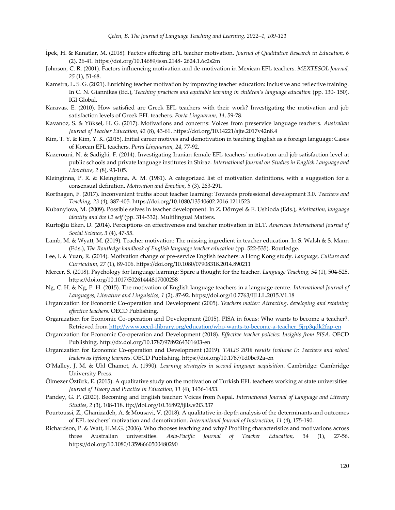- İpek, H. & Kanatlar, M. (2018). Factors affecting EFL teacher motivation. *Journal of Qualitative Research in Education, 6*  (2), 26-41. https://doi.org/10.14689/issn.2148- 2624.1.6c2s2m
- Johnson, C. R. (2001). Factors influencing motivation and de-motivation in Mexican EFL teachers. *MEXTESOL Journal, 25* (1), 51-68.
- Kamstra, L. S. G. (2021). Enriching teacher motivation by improving teacher education: Inclusive and reflective training. In C. N. Giannikas (Ed.), Teaching practices and equitable learning in children's language education (pp. 130- 150). IGI Global.
- Karavas, E. (2010). How satisfied are Greek EFL teachers with their work? Investigating the motivation and job satisfaction levels of Greek EFL teachers. *Porta Linguarum, 14*, 59-78.
- Kavanoz, S. & Yüksel, H. G. (2017). Motivations and concerns: Voices from preservice language teachers. *Australian Journal of Teacher Education, 42* (8), 43-61. https://doi.org/10.14221/ajte.2017v42n8.4
- Kim, T. Y. & Kim, Y. K. (2015). Initial career motives and demotivation in teaching English as a foreign language: Cases of Korean EFL teachers. *Porta Linguarum, 24*, 77-92.
- Kazerouni, N. & Sadighi, F. (2014). Investigating Iranian female EFL teachers' motivation and job satisfaction level at public schools and private language institutes in Shiraz. *International Journal on Studies in English Language and Literature, 2* (8), 93-105.
- Kleinginna, P. R. & Kleinginna, A. M. (1981). A categorized list of motivation definitions, with a suggestion for a consensual definition. *Motivation and Emotion, 5* (3), 263-291.
- Korthagen, F. (2017). Inconvenient truths about teacher learning: Towards professional development 3.0. *Teachers and Teaching, 23* (4), 387-405. https://doi.org/10.1080/13540602.2016.1211523
- Kubanyiova, M. (2009). Possible selves in teacher development. In Z. Dörnyei & E. Ushioda (Eds.), *Motivation, language identity and the L2 self* (pp. 314-332). Multilingual Matters.
- Kurtoğlu Eken, D. (2014). Perceptions on effectiveness and teacher motivation in ELT. *American International Journal of Social Science, 3* (4), 47-55.
- Lamb, M. & Wyatt, M. (2019). Teacher motivation: The missing ingredient in teacher education. In S. Walsh & S. Mann (Eds.), *The Routledge handbook of English language teacher education* (pp. 522-535). Routledge.
- Lee, I. & Yuan, R. (2014). Motivation change of pre-service English teachers: a Hong Kong study*. Language, Culture and Curriculum, 27* (1), 89-106. https://doi.org/10.1080/07908318.2014.890211
- Mercer, S. (2018). Psychology for language learning: Spare a thought for the teacher. *Language Teaching, 54* (1), 504-525. https://doi.org/10.1017/S0261444817000258
- Ng, C. H. & Ng, P. H. (2015). The motivation of English language teachers in a language centre. *International Journal of Languages, Literature and Linguistics, 1* (2), 87-92. https://doi.org/10.7763/IJLLL.2015.V1.18
- Organization for Economic Co-operation and Development (2005). *Teachers matter: Attracting, developing and retaining effective teachers.* OECD Publishing.
- Organization for Economic Co-operation and Development (2015). PISA in focus: Who wants to become a teacher?. Retrieved fro[m http://www.oecd-ilibrary.org/education/who-wants-to-become-a-teacher\\_5jrp3qdk2fzp-en](http://www.oecd-ilibrary.org/education/who-wants-to-become-a-teacher_5jrp3qdk2fzp-en)
- Organization for Economic Co-operation and Development (2018). *Effective teacher policies: Insights from PISA.* OECD Publishing. http://dx.doi.org/10.1787/9789264301603-en
- Organization for Economic Co-operation and Development (2019). *TALIS 2018 results (volume I): Teachers and school leaders as lifelong learners*. OECD Publishing. https://doi.org/10.1787/1d0bc92a-en
- O'Malley, J. M. & Uhl Chamot, A. (1990). *Learning strategies in second language acquisition*. Cambridge: Cambridge University Press.
- Ölmezer Öztürk, E. (2015). A qualitative study on the motivation of Turkish EFL teachers working at state universities. *Journal of Theory and Practice in Education, 11* (4), 1436-1453.
- Pandey, G. P. (2020). Becoming and English teacher: Voices from Nepal. *International Journal of Language and Literary Studies, 2* (3), 108-118. ttp://doi.org/10.36892/ijlls.v2i3.337
- Pourtoussi, Z., Ghanizadeh, A. & Mousavi, V. (2018). A qualitative in-depth analysis of the determinants and outcomes of EFL teachers' motivation and demotivation. *International Journal of Instruction, 11* (4), 175-190.
- Richardson, P. & Watt, H.M.G. (2006). Who chooses teaching and why? Profiling characteristics and motivations across three Australian universities. *Asia-Pacific Journal of Teacher Education, 34* (1), 27-56. https://doi.org/10.1080/13598660500480290